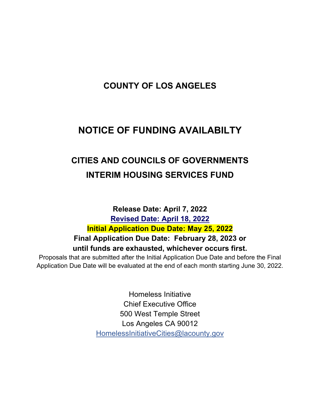# **COUNTY OF LOS ANGELES**

# **NOTICE OF FUNDING AVAILABILTY**

# **CITIES AND COUNCILS OF GOVERNMENTS INTERIM HOUSING SERVICES FUND**

**Release Date: April 7, 2022 Revised Date: April 18, 2022 Initial Application Due Date: May 25, 2022 Final Application Due Date: February 28, 2023 or until funds are exhausted, whichever occurs first.** 

Proposals that are submitted after the Initial Application Due Date and before the Final Application Due Date will be evaluated at the end of each month starting June 30, 2022.

> Homeless Initiative Chief Executive Office 500 West Temple Street Los Angeles CA 90012 HomelessInitiativeCities@lacounty.gov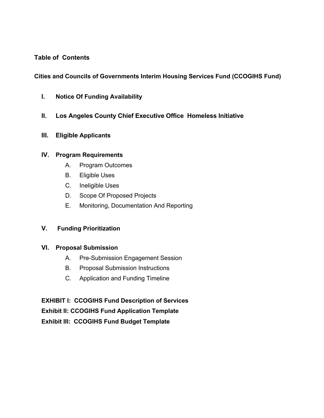## **Table of Contents**

## **Cities and Councils of Governments Interim Housing Services Fund (CCOGIHS Fund)**

- **I. Notice Of Funding Availability**
- **II. Los Angeles County Chief Executive Office Homeless Initiative**
- **III. Eligible Applicants**

## **IV. Program Requirements**

- A. Program Outcomes
- B. Eligible Uses
- C. Ineligible Uses
- D. Scope Of Proposed Projects
- E. Monitoring, Documentation And Reporting

## **V. Funding Prioritization**

## **VI. Proposal Submission**

- A. Pre-Submission Engagement Session
- B. Proposal Submission Instructions
- C. Application and Funding Timeline

**EXHIBIT I: CCOGIHS Fund Description of Services Exhibit II: CCOGIHS Fund Application Template Exhibit III: CCOGIHS Fund Budget Template**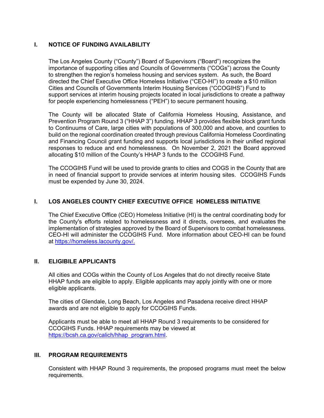## **I. NOTICE OF FUNDING AVAILABILITY**

The Los Angeles County ("County") Board of Supervisors ("Board") recognizes the importance of supporting cities and Councils of Governments ("COGs") across the County to strengthen the region's homeless housing and services system. As such, the Board directed the Chief Executive Office Homeless Initiative ("CEO-HI") to create a \$10 million Cities and Councils of Governments Interim Housing Services ("CCOGIHS") Fund to support services at interim housing projects located in local jurisdictions to create a pathway for people experiencing homelessness ("PEH") to secure permanent housing.

The County will be allocated State of California Homeless Housing, Assistance, and Prevention Program Round 3 ("HHAP 3") funding. HHAP 3 provides flexible block grant funds to Continuums of Care, large cities with populations of 300,000 and above, and counties to build on the regional coordination created through previous California Homeless Coordinating and Financing Council grant funding and supports local jurisdictions in their unified regional responses to reduce and end homelessness. On November 2, 2021 the Board approved allocating \$10 million of the County's HHAP 3 funds to the CCOGIHS Fund.

The CCOGIHS Fund will be used to provide grants to cities and COGS in the County that are in need of financial support to provide services at interim housing sites. CCOGIHS Funds must be expended by June 30, 2024.

## **I. LOS ANGELES COUNTY CHIEF EXECUTIVE OFFICE HOMELESS INITIATIVE**

The Chief Executive Office (CEO) Homeless Initiative (HI) is the central coordinating body for the County's efforts related to homelessness and it directs, oversees, and evaluates the implementation of strategies approved by the Board of Supervisors to combat homelessness. CEO-HI will administer the CCOGIHS Fund. More information about CEO-HI can be found at https://homeless.lacounty.gov/.

## **II. ELIGIBILE APPLICANTS**

All cities and COGs within the County of Los Angeles that do not directly receive State HHAP funds are eligible to apply. Eligible applicants may apply jointly with one or more eligible applicants.

The cities of Glendale, Long Beach, Los Angeles and Pasadena receive direct HHAP awards and are not eligible to apply for CCOGIHS Funds.

Applicants must be able to meet all HHAP Round 3 requirements to be considered for CCOGIHS Funds. HHAP requirements may be viewed at https://bcsh.ca.gov/calich/hhap\_program.html.

## **III. PROGRAM REQUIREMENTS**

Consistent with HHAP Round 3 requirements, the proposed programs must meet the below requirements.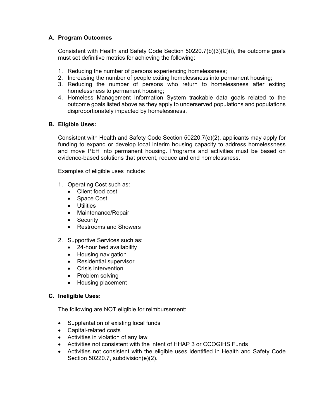## **A. Program Outcomes**

Consistent with Health and Safety Code Section 50220.7(b)(3)(C)(i), the outcome goals must set definitive metrics for achieving the following:

- 1. Reducing the number of persons experiencing homelessness;
- 2. Increasing the number of people exiting homelessness into permanent housing;
- 3. Reducing the number of persons who return to homelessness after exiting homelessness to permanent housing;
- 4. Homeless Management Information System trackable data goals related to the outcome goals listed above as they apply to underserved populations and populations disproportionately impacted by homelessness.

## **B. Eligible Uses:**

Consistent with Health and Safety Code Section 50220.7(e)(2), applicants may apply for funding to expand or develop local interim housing capacity to address homelessness and move PEH into permanent housing. Programs and activities must be based on evidence-based solutions that prevent, reduce and end homelessness.

Examples of eligible uses include:

- 1. Operating Cost such as:
	- Client food cost
	- Space Cost
	- **•** Utilities
	- Maintenance/Repair
	- Security
	- Restrooms and Showers
- 2. Supportive Services such as:
	- 24-hour bed availability
	- Housing navigation
	- Residential supervisor
	- Crisis intervention
	- Problem solving
	- Housing placement

## **C. Ineligible Uses:**

The following are NOT eligible for reimbursement:

- Supplantation of existing local funds
- Capital-related costs
- Activities in violation of any law
- Activities not consistent with the intent of HHAP 3 or CCOGIHS Funds
- Activities not consistent with the eligible uses identified in Health and Safety Code Section 50220.7, subdivision(e)(2).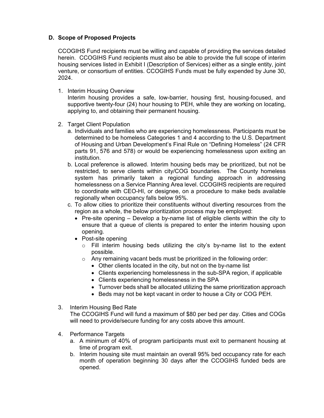## **D. Scope of Proposed Projects**

CCOGIHS Fund recipients must be willing and capable of providing the services detailed herein. CCOGIHS Fund recipients must also be able to provide the full scope of interim housing services listed in Exhibit I (Description of Services) either as a single entity, joint venture, or consortium of entities. CCOGIHS Funds must be fully expended by June 30, 2024.

1. Interim Housing Overview

Interim housing provides a safe, low-barrier, housing first, housing-focused, and supportive twenty-four (24) hour housing to PEH, while they are working on locating, applying to, and obtaining their permanent housing.

- 2. Target Client Population
	- a. Individuals and families who are experiencing homelessness. Participants must be determined to be homeless Categories 1 and 4 according to the U.S. Department of Housing and Urban Development's Final Rule on "Defining Homeless" (24 CFR parts 91, 576 and 578) or would be experiencing homelessness upon exiting an institution.
	- b. Local preference is allowed. Interim housing beds may be prioritized, but not be restricted, to serve clients within city/COG boundaries. The County homeless system has primarily taken a regional funding approach in addressing homelessness on a Service Planning Area level. CCOGIHS recipients are required to coordinate with CEO-HI, or designee, on a procedure to make beds available regionally when occupancy falls below 95%.
	- c. To allow cities to prioritize their constituents without diverting resources from the region as a whole, the below prioritization process may be employed:
		- $\bullet$  Pre-site opening Develop a by-name list of eligible clients within the city to ensure that a queue of clients is prepared to enter the interim housing upon opening.
		- Post-site opening
			- $\circ$  Fill interim housing beds utilizing the city's by-name list to the extent possible.
			- $\circ$  Any remaining vacant beds must be prioritized in the following order:
				- Other clients located in the city, but not on the by-name list
				- Clients experiencing homelessness in the sub-SPA region, if applicable
				- Clients experiencing homelessness in the SPA
				- Turnover beds shall be allocated utilizing the same prioritization approach
				- Beds may not be kept vacant in order to house a City or COG PEH.
- 3. Interim Housing Bed Rate

The CCOGIHS Fund will fund a maximum of \$80 per bed per day. Cities and COGs will need to provide/secure funding for any costs above this amount.

- 4. Performance Targets
	- a. A minimum of 40% of program participants must exit to permanent housing at time of program exit.
	- b. Interim housing site must maintain an overall 95% bed occupancy rate for each month of operation beginning 30 days after the CCOGIHS funded beds are opened.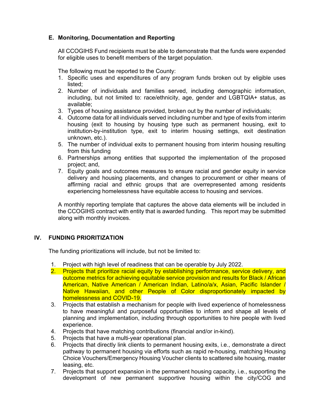## **E. Monitoring, Documentation and Reporting**

All CCOGIHS Fund recipients must be able to demonstrate that the funds were expended for eligible uses to benefit members of the target population.

The following must be reported to the County:

- 1. Specific uses and expenditures of any program funds broken out by eligible uses listed;
- 2. Number of individuals and families served, including demographic information, including, but not limited to: race/ethnicity, age, gender and LGBTQIA+ status, as available;
- 3. Types of housing assistance provided, broken out by the number of individuals;
- 4. Outcome data for all individuals served including number and type of exits from interim housing (exit to housing by housing type such as permanent housing, exit to institution-by-institution type, exit to interim housing settings, exit destination unknown, etc.).
- 5. The number of individual exits to permanent housing from interim housing resulting from this funding
- 6. Partnerships among entities that supported the implementation of the proposed project; and,
- 7. Equity goals and outcomes measures to ensure racial and gender equity in service delivery and housing placements, and changes to procurement or other means of affirming racial and ethnic groups that are overrepresented among residents experiencing homelessness have equitable access to housing and services.

A monthly reporting template that captures the above data elements will be included in the CCOGIHS contract with entity that is awarded funding. This report may be submitted along with monthly invoices.

## **IV. FUNDING PRIORITIZATION**

The funding prioritizations will include, but not be limited to:

- 1. Project with high level of readiness that can be operable by July 2022.
- 2. Projects that prioritize racial equity by establishing performance, service delivery, and outcome metrics for achieving equitable service provision and results for Black / African American, Native American / American Indian, Latino/a/x, Asian, Pacific Islander / Native Hawaiian, and other People of Color disproportionately impacted by homelessness and COVID-19.
- 3. Projects that establish a mechanism for people with lived experience of homelessness to have meaningful and purposeful opportunities to inform and shape all levels of planning and implementation, including through opportunities to hire people with lived experience.
- 4. Projects that have matching contributions (financial and/or in-kind).
- 5. Projects that have a multi-year operational plan.
- 6. Projects that directly link clients to permanent housing exits, i.e., demonstrate a direct pathway to permanent housing via efforts such as rapid re-housing, matching Housing Choice Vouchers/Emergency Housing Voucher clients to scattered site housing, master leasing, etc.
- 7. Projects that support expansion in the permanent housing capacity, i.e., supporting the development of new permanent supportive housing within the city/COG and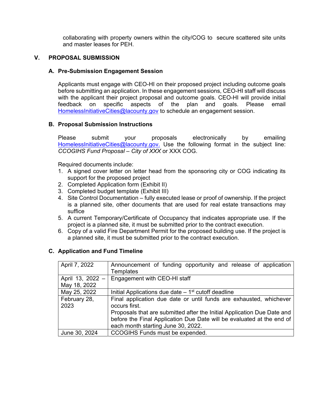collaborating with property owners within the city/COG to secure scattered site units and master leases for PEH.

## **V. PROPOSAL SUBMISSION**

#### **A. Pre-Submission Engagement Session**

Applicants must engage with CEO-HI on their proposed project including outcome goals before submitting an application. In these engagement sessions, CEO-HI staff will discuss with the applicant their project proposal and outcome goals. CEO-HI will provide initial feedback on specific aspects of the plan and goals. Please email HomelessInitiativeCities@lacounty.gov to schedule an engagement session.

#### **B. Proposal Submission Instructions**

Please submit your proposals electronically by emailing HomelessInitiativeCities@lacounty.gov. Use the following format in the subject line: *CCOGIHS Fund Proposal – City of XXX* or XXX COG.

Required documents include:

- 1. A signed cover letter on letter head from the sponsoring city or COG indicating its support for the proposed project
- 2. Completed Application form (Exhibit II)
- 3. Completed budget template (Exhibit III)
- 4. Site Control Documentation fully executed lease or proof of ownership. If the project is a planned site, other documents that are used for real estate transactions may suffice
- 5. A current Temporary/Certificate of Occupancy that indicates appropriate use. If the project is a planned site, it must be submitted prior to the contract execution.
- 6. Copy of a valid Fire Department Permit for the proposed building use. If the project is a planned site, it must be submitted prior to the contract execution.

## **C. Application and Fund Timeline**

| April 7, 2022    | Announcement of funding opportunity and release of application          |
|------------------|-------------------------------------------------------------------------|
|                  | Templates                                                               |
| April 13, 2022 - | Engagement with CEO-HI staff                                            |
| May 18, 2022     |                                                                         |
| May 25, 2022     | Initial Applications due date $-1st$ cutoff deadline                    |
| February 28,     | Final application due date or until funds are exhausted, whichever      |
| 2023             | occurs first.                                                           |
|                  | Proposals that are submitted after the Initial Application Due Date and |
|                  | before the Final Application Due Date will be evaluated at the end of   |
|                  | each month starting June 30, 2022.                                      |
| June 30, 2024    | CCOGIHS Funds must be expended.                                         |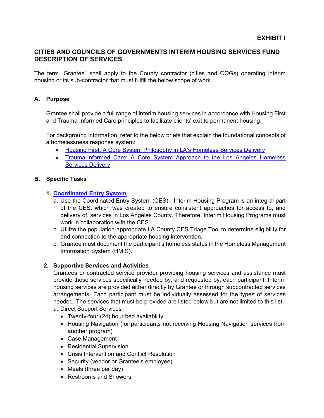## **CITIES AND COUNCILS OF GOVERNMENTS INTERIM HOUSING SERVICES FUND DESCRIPTION OF SERVICES**

The term "Grantee" shall apply to the County contractor (cities and COGs) operating interim housing or its sub-contractor that must fulfill the below scope of work.

## **A. Purpose**

Grantee shall provide a full range of interim housing services in accordance with Housing First and Trauma Informed Care principles to facilitate clients' exit to permanent housing.

For background information, refer to the below briefs that explain the foundational concepts of a homelessness response system:

- Housing First: A Core System Philosophy in LA's Homeless Services Delivery
- Trauma-Informed Care: A Core System Approach to the Los Angeles Homeless Services Delivery

## **B. Specific Tasks**

## **1. Coordinated Entry System**

- a. Use the Coordinated Entry System (CES) Interim Housing Program is an integral part of the CES, which was created to ensure consistent approaches for access to, and delivery of, services in Los Angeles County. Therefore, Interim Housing Programs must work in collaboration with the CES.
- b. Utilize the population-appropriate LA County CES Triage Tool to determine eligibility for and connection to the appropriate housing intervention.
- c. Grantee must document the participant's homeless status in the Homeless Management Information System (HMIS).

## **2. Supportive Services and Activities**

Grantees or contracted service provider providing housing services and assistance must provide those services specifically needed by, and requested by, each participant. Interim housing services are provided either directly by Grantee or through subcontracted services arrangements. Each participant must be individually assessed for the types of services needed. The services that must be provided are listed below but are not limited to this list.

- a. Direct Support Services
	- Twenty-four (24) hour bed availability
	- Housing Navigation (for participants not receiving Housing Navigation services from another program)
	- Case Management
	- Residential Supervision
	- Crisis Intervention and Conflict Resolution
	- Security (vendor or Grantee's employee)
	- Meals (three per day)
	- Restrooms and Showers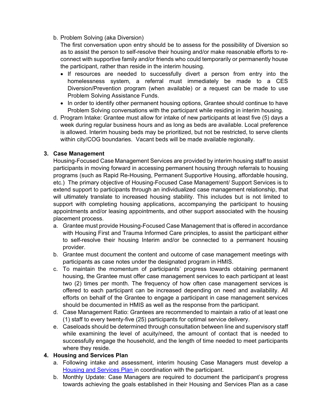## b. Problem Solving (aka Diversion)

The first conversation upon entry should be to assess for the possibility of Diversion so as to assist the person to self-resolve their housing and/or make reasonable efforts to reconnect with supportive family and/or friends who could temporarily or permanently house the participant, rather than reside in the interim housing.

- If resources are needed to successfully divert a person from entry into the homelessness system, a referral must immediately be made to a CES Diversion/Prevention program (when available) or a request can be made to use Problem Solving Assistance Funds.
- In order to identify other permanent housing options, Grantee should continue to have Problem Solving conversations with the participant while residing in interim housing.
- d. Program Intake: Grantee must allow for intake of new participants at least five (5) days a week during regular business hours and as long as beds are available. Local preference is allowed. Interim housing beds may be prioritized, but not be restricted, to serve clients within city/COG boundaries. Vacant beds will be made available regionally.

## **3. Case Management**

Housing-Focused Case Management Services are provided by interim housing staff to assist participants in moving forward in accessing permanent housing through referrals to housing programs (such as Rapid Re-Housing, Permanent Supportive Housing, affordable housing, etc.) The primary objective of Housing-Focused Case Management/ Support Services is to extend support to participants through an individualized case management relationship, that will ultimately translate to increased housing stability. This includes but is not limited to support with completing housing applications, accompanying the participant to housing appointments and/or leasing appointments, and other support associated with the housing placement process.

- a. Grantee must provide Housing-Focused Case Management that is offered in accordance with Housing First and Trauma Informed Care principles, to assist the participant either to self-resolve their housing Interim and/or be connected to a permanent housing provider.
- b. Grantee must document the content and outcome of case management meetings with participants as case notes under the designated program in HMIS.
- c. To maintain the momentum of participants' progress towards obtaining permanent housing, the Grantee must offer case management services to each participant at least two (2) times per month. The frequency of how often case management services is offered to each participant can be increased depending on need and availability. All efforts on behalf of the Grantee to engage a participant in case management services should be documented in HMIS as well as the response from the participant.
- d. Case Management Ratio: Grantees are recommended to maintain a ratio of at least one (1) staff to every twenty-five (25) participants for optimal service delivery.
- e. Caseloads should be determined through consultation between line and supervisory staff while examining the level of acuity/need, the amount of contact that is needed to successfully engage the household, and the length of time needed to meet participants where they reside.

## **4. Housing and Services Plan**

- a. Following intake and assessment, interim housing Case Managers must develop a Housing and Services Plan in coordination with the participant.
- b. Monthly Update: Case Managers are required to document the participant's progress towards achieving the goals established in their Housing and Services Plan as a case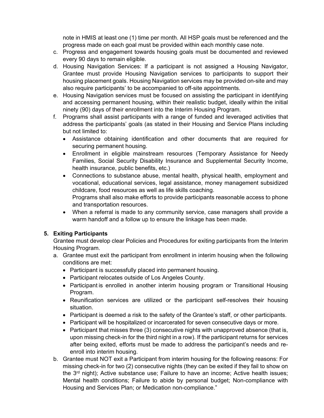note in HMIS at least one (1) time per month. All HSP goals must be referenced and the progress made on each goal must be provided within each monthly case note.

- c. Progress and engagement towards housing goals must be documented and reviewed every 90 days to remain eligible.
- d. Housing Navigation Services: If a participant is not assigned a Housing Navigator, Grantee must provide Housing Navigation services to participants to support their housing placement goals. Housing Navigation services may be provided on-site and may also require participants' to be accompanied to off-site appointments.
- e. Housing Navigation services must be focused on assisting the participant in identifying and accessing permanent housing, within their realistic budget, ideally within the initial ninety (90) days of their enrollment into the Interim Housing Program.
- f. Programs shall assist participants with a range of funded and leveraged activities that address the participants' goals (as stated in their Housing and Service Plans including but not limited to:
	- Assistance obtaining identification and other documents that are required for securing permanent housing.
	- Enrollment in eligible mainstream resources (Temporary Assistance for Needy Families, Social Security Disability Insurance and Supplemental Security Income, health insurance, public benefits, etc.)
	- Connections to substance abuse, mental health, physical health, employment and vocational, educational services, legal assistance, money management subsidized childcare, food resources as well as life skills coaching. Programs shall also make efforts to provide participants reasonable access to phone and transportation resources.
	- When a referral is made to any community service, case managers shall provide a warm handoff and a follow up to ensure the linkage has been made.

## **5. Exiting Participants**

Grantee must develop clear Policies and Procedures for exiting participants from the Interim Housing Program.

- a. Grantee must exit the participant from enrollment in interim housing when the following conditions are met:
	- Participant is successfully placed into permanent housing.
	- Participant relocates outside of Los Angeles County.
	- Participant is enrolled in another interim housing program or Transitional Housing Program.
	- Reunification services are utilized or the participant self-resolves their housing situation.
	- Participant is deemed a risk to the safety of the Grantee's staff, or other participants.
	- Participant will be hospitalized or incarcerated for seven consecutive days or more.
	- Participant that misses three (3) consecutive nights with unapproved absence (that is, upon missing check-in for the third night in a row). If the participant returns for services after being exited, efforts must be made to address the participant's needs and reenroll into interim housing.
- b. Grantee must NOT exit a Participant from interim housing for the following reasons: For missing check-in for two (2) consecutive nights (they can be exited if they fail to show on the 3<sup>rd</sup> night); Active substance use; Failure to have an income; Active health issues; Mental health conditions; Failure to abide by personal budget; Non-compliance with Housing and Services Plan; or Medication non-compliance."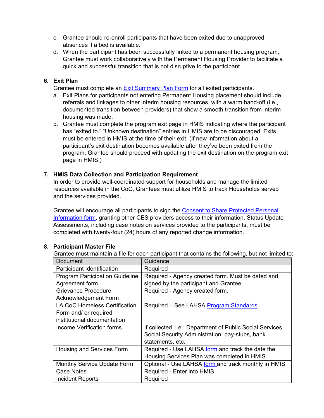- c. Grantee should re-enroll participants that have been exited due to unapproved absences if a bed is available.
- d. When the participant has been successfully linked to a permanent housing program, Grantee must work collaboratively with the Permanent Housing Provider to facilitate a quick and successful transition that is not disruptive to the participant.

## **6. Exit Plan**

Grantee must complete an Exit Summary Plan Form for all exited participants.

- a. Exit Plans for participants not entering Permanent Housing placement should include referrals and linkages to other interim housing resources, with a warm hand-off (i.e., documented transition between providers) that show a smooth transition from interim housing was made.
- b. Grantee must complete the program exit page in HMIS indicating where the participant has "exited to." "Unknown destination" entries in HMIS are to be discouraged. Exits must be entered in HMIS at the time of their exit. (If new information about a participant's exit destination becomes available after they've been exited from the program, Grantee should proceed with updating the exit destination on the program exit page in HMIS.)

## **7. HMIS Data Collection and Participation Requirement**

In order to provide well-coordinated support for households and manage the limited resources available in the CoC, Grantees must utilize HMIS to track Households served and the services provided.

Grantee will encourage all participants to sign the Consent to Share Protected Personal Information form, granting other CES providers access to their information. Status Update Assessments, including case notes on services provided to the participants, must be completed with twenty-four (24) hours of any reported change information.

## **8. Participant Master File**

Grantee must maintain a file for each participant that contains the following, but not limited to:

| Document                               | Guidance                                                  |  |  |  |
|----------------------------------------|-----------------------------------------------------------|--|--|--|
| Participant Identification             | Required                                                  |  |  |  |
| <b>Program Participation Guideline</b> | Required - Agency created form. Must be dated and         |  |  |  |
| Agreement form                         | signed by the participant and Grantee.                    |  |  |  |
| Grievance Procedure                    | Required - Agency created form.                           |  |  |  |
| Acknowledgement Form                   |                                                           |  |  |  |
| <b>LA CoC Homeless Certification</b>   | Required - See LAHSA Program Standards                    |  |  |  |
| Form and/ or required                  |                                                           |  |  |  |
| institutional documentation            |                                                           |  |  |  |
| Income Verification forms              | If collected, i.e., Department of Public Social Services, |  |  |  |
|                                        | Social Security Administration, pay-stubs, bank           |  |  |  |
|                                        | statements, etc.                                          |  |  |  |
| Housing and Services Form              | Required - Use LAHSA form and track the date the          |  |  |  |
|                                        | Housing Services Plan was completed in HMIS               |  |  |  |
| Monthly Service Update Form            | Optional - Use LAHSA form and track monthly in HMIS       |  |  |  |
| Case Notes                             | Required - Enter into HMIS                                |  |  |  |
| Incident Reports                       | Required                                                  |  |  |  |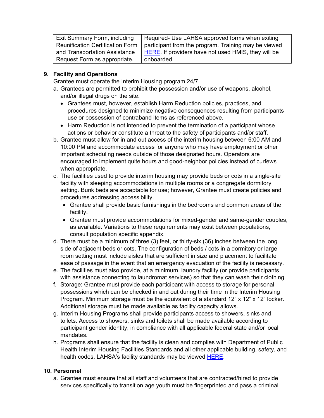| <b>Exit Summary Form, including</b> | Required- Use LAHSA approved forms when exiting            |
|-------------------------------------|------------------------------------------------------------|
| Reunification Certification Form    | participant from the program. Training may be viewed       |
| and Transportation Assistance       | <b>HERE.</b> If providers have not used HMIS, they will be |
| Request Form as appropriate.        | onboarded.                                                 |

## **9. Facility and Operations**

Grantee must operate the Interim Housing program 24/7.

- a. Grantees are permitted to prohibit the possession and/or use of weapons, alcohol, and/or illegal drugs on the site.
	- Grantees must, however, establish Harm Reduction policies, practices, and procedures designed to minimize negative consequences resulting from participants use or possession of contraband items as referenced above.
	- Harm Reduction is not intended to prevent the termination of a participant whose actions or behavior constitute a threat to the safety of participants and/or staff.
- b. Grantee must allow for in and out access of the interim housing between 6:00 AM and 10:00 PM and accommodate access for anyone who may have employment or other important scheduling needs outside of those designated hours. Operators are encouraged to implement quite hours and good-neighbor policies instead of curfews when appropriate.
- c. The facilities used to provide interim housing may provide beds or cots in a single-site facility with sleeping accommodations in multiple rooms or a congregate dormitory setting. Bunk beds are acceptable for use; however, Grantee must create policies and procedures addressing accessibility.
	- Grantee shall provide basic furnishings in the bedrooms and common areas of the facility.
	- Grantee must provide accommodations for mixed-gender and same-gender couples, as available. Variations to these requirements may exist between populations, consult population specific appendix.
- d. There must be a minimum of three (3) feet, or thirty-six (36) inches between the long side of adjacent beds or cots. The configuration of beds / cots in a dormitory or large room setting must include aisles that are sufficient in size and placement to facilitate ease of passage in the event that an emergency evacuation of the facility is necessary.
- e. The facilities must also provide, at a minimum, laundry facility (or provide participants with assistance connecting to laundromat services) so that they can wash their clothing.
- f. Storage: Grantee must provide each participant with access to storage for personal possessions which can be checked in and out during their time in the Interim Housing Program. Minimum storage must be the equivalent of a standard 12" x 12" x 12" locker. Additional storage must be made available as facility capacity allows.
- g. Interim Housing Programs shall provide participants access to showers, sinks and toilets. Access to showers, sinks and toilets shall be made available according to participant gender identity, in compliance with all applicable federal state and/or local mandates.
- h. Programs shall ensure that the facility is clean and complies with Department of Public Health Interim Housing Facilities Standards and all other applicable building, safety, and health codes. LAHSA's facility standards may be viewed **HERE**.

## **10. Personnel**

a. Grantee must ensure that all staff and volunteers that are contracted/hired to provide services specifically to transition age youth must be fingerprinted and pass a criminal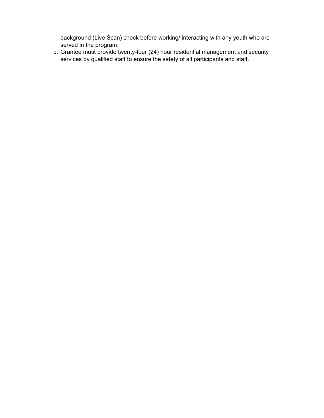background (Live Scan) check before working/ interacting with any youth who are served in the program.

b. Grantee must provide twenty-four (24) hour residential management and security services by qualified staff to ensure the safety of all participants and staff.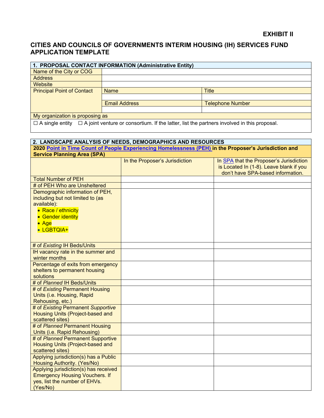## **CITIES AND COUNCILS OF GOVERNMENTS INTERIM HOUSING (IH) SERVICES FUND APPLICATION TEMPLATE**

| 1. PROPOSAL CONTACT INFORMATION (Administrative Entity)                                                                  |                      |                         |  |  |  |  |  |
|--------------------------------------------------------------------------------------------------------------------------|----------------------|-------------------------|--|--|--|--|--|
| Name of the City or COG                                                                                                  |                      |                         |  |  |  |  |  |
| <b>Address</b>                                                                                                           |                      |                         |  |  |  |  |  |
| Website                                                                                                                  |                      |                         |  |  |  |  |  |
| <b>Principal Point of Contact</b>                                                                                        | <b>Name</b>          | <b>Title</b>            |  |  |  |  |  |
|                                                                                                                          |                      |                         |  |  |  |  |  |
|                                                                                                                          | <b>Email Address</b> | <b>Telephone Number</b> |  |  |  |  |  |
|                                                                                                                          |                      |                         |  |  |  |  |  |
| My organization is proposing as                                                                                          |                      |                         |  |  |  |  |  |
| $\Box$ A single entity $\Box$ A joint venture or consortium. If the latter, list the partners involved in this proposal. |                      |                         |  |  |  |  |  |

| 2. LANDSCAPE ANALYSIS OF NEEDS, DEMOGRAPHICS AND RESOURCES                                                                                                   |                                |                                                                                                                         |  |  |  |  |
|--------------------------------------------------------------------------------------------------------------------------------------------------------------|--------------------------------|-------------------------------------------------------------------------------------------------------------------------|--|--|--|--|
| 2020 Point in Time Count of People Experiencing Homelessness (PEH) in the Proposer's Jurisdiction and                                                        |                                |                                                                                                                         |  |  |  |  |
| <b>Service Planning Area (SPA)</b>                                                                                                                           |                                |                                                                                                                         |  |  |  |  |
|                                                                                                                                                              | In the Proposer's Jurisdiction | In SPA that the Proposer's Jurisdiction<br>is Located In (1-8). Leave blank if you<br>don't have SPA-based information. |  |  |  |  |
| <b>Total Number of PEH</b>                                                                                                                                   |                                |                                                                                                                         |  |  |  |  |
| # of PEH Who are Unsheltered                                                                                                                                 |                                |                                                                                                                         |  |  |  |  |
| Demographic information of PEH,<br>including but not limited to (as<br>available):<br>• Race / ethnicity<br>• Gender identity<br>$\bullet$ Age<br>• LGBTQIA+ |                                |                                                                                                                         |  |  |  |  |
| # of Existing IH Beds/Units                                                                                                                                  |                                |                                                                                                                         |  |  |  |  |
| IH vacancy rate in the summer and<br>winter months                                                                                                           |                                |                                                                                                                         |  |  |  |  |
| Percentage of exits from emergency<br>shelters to permanent housing<br>solutions                                                                             |                                |                                                                                                                         |  |  |  |  |
| # of Planned IH Beds/Units                                                                                                                                   |                                |                                                                                                                         |  |  |  |  |
| # of Existing Permanent Housing<br>Units (i.e. Housing, Rapid<br>Rehousing, etc.)                                                                            |                                |                                                                                                                         |  |  |  |  |
| # of Existing Permanent Supportive<br>Housing Units (Project-based and<br>scattered sites)                                                                   |                                |                                                                                                                         |  |  |  |  |
| # of Planned Permanent Housing<br>Units (i.e. Rapid Rehousing)                                                                                               |                                |                                                                                                                         |  |  |  |  |
| # of Planned Permanent Supportive<br>Housing Units (Project-based and<br>scattered sites)                                                                    |                                |                                                                                                                         |  |  |  |  |
| Applying jurisdiction(s) has a Public<br>Housing Authority. (Yes/No)                                                                                         |                                |                                                                                                                         |  |  |  |  |
| Applying jurisdiction(s) has received<br><b>Emergency Housing Vouchers. If</b><br>yes, list the number of EHVs.<br>(Yes/No)                                  |                                |                                                                                                                         |  |  |  |  |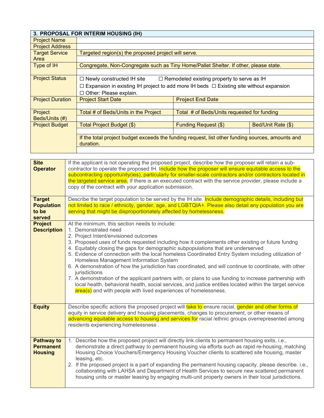|                         | 3. PROPOSAL FOR INTERIM HOUSING (IH)                                                                          |                                                   |                    |  |  |  |
|-------------------------|---------------------------------------------------------------------------------------------------------------|---------------------------------------------------|--------------------|--|--|--|
| <b>Project Name</b>     |                                                                                                               |                                                   |                    |  |  |  |
| <b>Project Address</b>  |                                                                                                               |                                                   |                    |  |  |  |
| <b>Target Service</b>   | Targeted region(s) the proposed project will serve.                                                           |                                                   |                    |  |  |  |
| Area                    |                                                                                                               |                                                   |                    |  |  |  |
| Type of IH              | Congregate, Non-Congregate such as Tiny Home/Pallet Shelter. If other, please state.                          |                                                   |                    |  |  |  |
|                         |                                                                                                               |                                                   |                    |  |  |  |
| <b>Project Status</b>   | $\Box$ Newly constructed IH site                                                                              | $\Box$ Remodeled existing property to serve as IH |                    |  |  |  |
|                         | Expansion in existing IH project to add more IH beds $\Box$ Existing site without expansion                   |                                                   |                    |  |  |  |
|                         | $\Box$ Other: Please explain.                                                                                 |                                                   |                    |  |  |  |
| <b>Project Duration</b> | <b>Project Start Date</b><br><b>Project End Date</b>                                                          |                                                   |                    |  |  |  |
|                         |                                                                                                               |                                                   |                    |  |  |  |
| Project                 | Total # of Beds/Units in the Project                                                                          | Total # of Beds/Units requested for funding       |                    |  |  |  |
| Beds/Units (#)          |                                                                                                               |                                                   |                    |  |  |  |
| <b>Project Budget</b>   | Total Project Budget (\$)                                                                                     | <b>Funding Request (\$)</b>                       | Bed/Unit Rate (\$) |  |  |  |
|                         |                                                                                                               |                                                   |                    |  |  |  |
|                         | If the total project budget exceeds the funding request, list other funding sources, amounts and<br>duration. |                                                   |                    |  |  |  |
|                         |                                                                                                               |                                                   |                    |  |  |  |

| <b>Site</b><br><b>Operator</b><br><b>Target</b>         | If the applicant is not operating the proposed project, describe how the proposer will retain a sub-<br>contractor to operate the proposed IH. Include how the proposer will ensure equitable access to the<br>subcontracting opportunity(ies), particularly for smaller-scale contractors and/or contractors located in<br>the targeted service area. If there is an executed contract with the service provider, please include a<br>copy of the contract with your application submission.<br>Describe the target population to be served by the IH site. Include demographic details, including but                                                                                                                                                                                                                                                                         |
|---------------------------------------------------------|---------------------------------------------------------------------------------------------------------------------------------------------------------------------------------------------------------------------------------------------------------------------------------------------------------------------------------------------------------------------------------------------------------------------------------------------------------------------------------------------------------------------------------------------------------------------------------------------------------------------------------------------------------------------------------------------------------------------------------------------------------------------------------------------------------------------------------------------------------------------------------|
| <b>Population</b><br>to be<br>served                    | not limited to race / ethnicity, gender, age, and LGBTQIA+. Please also detail any population you are<br>serving that might be disproportionately affected by homelessness.                                                                                                                                                                                                                                                                                                                                                                                                                                                                                                                                                                                                                                                                                                     |
| <b>Project</b><br><b>Description</b>                    | At the minimum, this section needs to include:<br>1. Demonstrated need<br>2. Project Intent/envisioned outcomes<br>3. Proposed uses of funds requested including how it complements other existing or future fundng<br>4. Equitably closing the gaps for demographic subpopulations that are underserved<br>5. Evidence of connection with the local homeless Coordinated Entry System including utilization of<br>Homeless Management Information System<br>6. A demonstration of how the jurisdiction has coordinated, and will continue to coordinate, with other<br>jurisdictions<br>7. A demonstration of the applicant partners with, or plans to use funding to increase partnership with<br>local health, behavioral health, social services, and justice entities located within the target service<br>area(s) and with people with lived experiences of homelessness. |
| <b>Equity</b>                                           | Describe specific actions the proposed project will take to ensure racial, gender and other forms of<br>equity in service delivery and housing placements, changes to procurement, or other means of<br>advancing equitable access to housing and services for racial /ethnic groups overrepresented among<br>residents experiencing homelessness.                                                                                                                                                                                                                                                                                                                                                                                                                                                                                                                              |
| <b>Pathway to</b><br><b>Permanent</b><br><b>Housing</b> | 1. Describe how the proposed project will directly link clients to permanent housing exits, i.e.,<br>demonstrate a direct pathway to permanent housing via efforts such as rapid re-housing, matching<br>Housing Choice Vouchers/Emergency Housing Voucher clients to scattered site housing, master<br>leasing, etc.<br>2. If the proposed project is a part of expanding the permanent housing capacity, please describe. i.e.,<br>collaborating with LAHSA and Department of Health Services to secure new scattered permanent<br>housing units or master leasing by engaging multi-unit property owners in their local jurisdictions.                                                                                                                                                                                                                                       |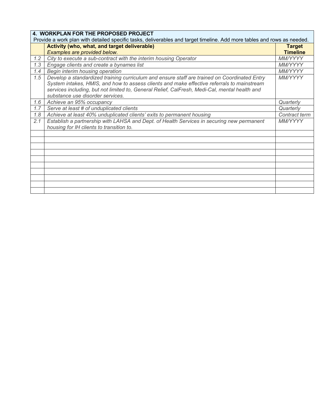|     | 4. WORKPLAN FOR THE PROPOSED PROJECT                                                                                                                                                                                                                                                                                            |                 |
|-----|---------------------------------------------------------------------------------------------------------------------------------------------------------------------------------------------------------------------------------------------------------------------------------------------------------------------------------|-----------------|
|     | Provide a work plan with detailed specific tasks, deliverables and target timeline. Add more tables and rows as needed.                                                                                                                                                                                                         |                 |
|     | Activity (who, what, and target deliverable)                                                                                                                                                                                                                                                                                    | <b>Target</b>   |
|     | Examples are provided below.                                                                                                                                                                                                                                                                                                    | <b>Timeline</b> |
| 1.2 | City to execute a sub-contract with the interim housing Operator                                                                                                                                                                                                                                                                | MM/YYYY         |
| 1.3 | Engage clients and create a bynames list                                                                                                                                                                                                                                                                                        | MM/YYYY         |
| 1.4 | Begin interim housing operation                                                                                                                                                                                                                                                                                                 | MM/YYYY         |
| 1.5 | Develop a standardized training curriculum and ensure staff are trained on Coordinated Entry<br>System intakes, HMIS, and how to assess clients and make effective referrals to mainstream<br>services including, but not limited to, General Relief, CalFresh, Medi-Cal, mental health and<br>substance use disorder services. | <b>MM/YYYY</b>  |
| 1.6 | Achieve an 95% occupancy                                                                                                                                                                                                                                                                                                        | Quarterly       |
| 1.7 | Serve at least # of unduplicated clients                                                                                                                                                                                                                                                                                        | Quarterly       |
| 1.8 | Achieve at least 40% unduplicated clients' exits to permanent housing                                                                                                                                                                                                                                                           | Contract term   |
| 2.1 | Establish a partnership with LAHSA and Dept. of Health Services in securing new permanent<br>housing for IH clients to transition to.                                                                                                                                                                                           | MM/YYYY         |
|     |                                                                                                                                                                                                                                                                                                                                 |                 |
|     |                                                                                                                                                                                                                                                                                                                                 |                 |
|     |                                                                                                                                                                                                                                                                                                                                 |                 |
|     |                                                                                                                                                                                                                                                                                                                                 |                 |
|     |                                                                                                                                                                                                                                                                                                                                 |                 |
|     |                                                                                                                                                                                                                                                                                                                                 |                 |
|     |                                                                                                                                                                                                                                                                                                                                 |                 |
|     |                                                                                                                                                                                                                                                                                                                                 |                 |
|     |                                                                                                                                                                                                                                                                                                                                 |                 |
|     |                                                                                                                                                                                                                                                                                                                                 |                 |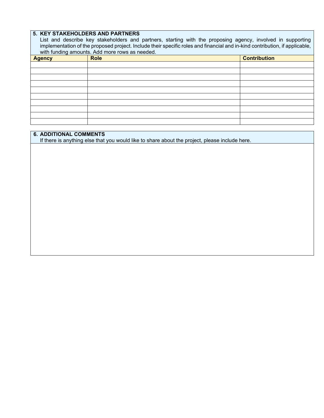## **5. KEY STAKEHOLDERS AND PARTNERS**

List and describe key stakeholders and partners, starting with the proposing agency, involved in supporting implementation of the proposed project. Include their specific roles and financial and in-kind contribution, if applicable, with funding amounts. Add more rows as needed.

| ີ<br><b>Agency</b> | <b>Role</b> | <b>Contribution</b> |
|--------------------|-------------|---------------------|
|                    |             |                     |
|                    |             |                     |
|                    |             |                     |
|                    |             |                     |
|                    |             |                     |
|                    |             |                     |
|                    |             |                     |
|                    |             |                     |
|                    |             |                     |
|                    |             |                     |

#### **6. ADDITIONAL COMMENTS**

If there is anything else that you would like to share about the project, please include here.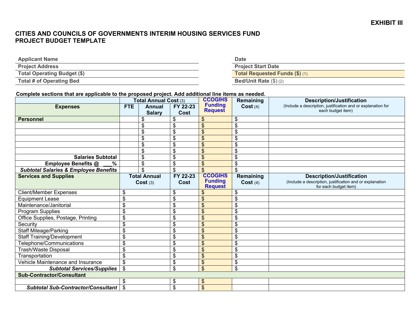## **CITIES AND COUNCILS OF GOVERNMENTS INTERIM HOUSING SERVICES FUND PROJECT BUDGET TEMPLATE**

| <b>Applicant Name</b>           | <b>Date</b>                    |
|---------------------------------|--------------------------------|
| <b>Project Address</b>          | <b>Project Start Date</b>      |
| Total Operating Budget (\$)     | Total Requested Funds (\$) (1) |
| <b>Total # of Operating Bed</b> | Bed/Unit Rate $(\$)$ (2)       |

#### **Complete sections that are applicable to the proposed project. Add additional line items as needed.**

|                                                  | Total Annual Cost (3) |                         |                  | <b>CCOGIHS</b>                   | Remaining                | <b>Description/Justification</b>                                                  |  |
|--------------------------------------------------|-----------------------|-------------------------|------------------|----------------------------------|--------------------------|-----------------------------------------------------------------------------------|--|
| <b>Expenses</b>                                  | <b>FTE</b>            | Annual<br><b>Salary</b> | FY 22-23<br>Cost | <b>Funding</b><br><b>Request</b> | Cost(4)                  | (Include a description, justification and or explanation for<br>each budget item) |  |
| <b>Personnel</b>                                 |                       | \$                      | \$               | \$.                              | \$                       |                                                                                   |  |
|                                                  |                       | \$                      | \$               | \$                               | $\mathfrak{S}$           |                                                                                   |  |
|                                                  |                       | \$                      | \$               | \$                               | \$                       |                                                                                   |  |
|                                                  |                       | \$                      | \$               | \$                               | \$                       |                                                                                   |  |
|                                                  |                       | \$                      | \$               | \$                               | \$                       |                                                                                   |  |
|                                                  |                       | \$                      | \$               | \$                               | \$                       |                                                                                   |  |
| <b>Salaries Subtotal</b>                         |                       | \$                      | \$               | \$                               | \$                       |                                                                                   |  |
| Employee Benefits @<br>$\%$                      |                       | \$                      | \$               | $\mathfrak{L}$                   | \$                       |                                                                                   |  |
| <b>Subtotal Salaries &amp; Employee Benefits</b> |                       | \$                      | \$               | $\mathfrak{L}$                   | $\mathbb{S}$             |                                                                                   |  |
| <b>Services and Supplies</b>                     |                       | <b>Total Annual</b>     | FY 22-23         | <b>CCOGIHS</b><br><b>Funding</b> | <b>Remaining</b>         | <b>Description/Justification</b>                                                  |  |
|                                                  |                       | Cost(3)                 | Cost             | <b>Request</b>                   | Cost(4)                  | (Include a description, justification and or explanation<br>for each budget item) |  |
| <b>Client/Member Expenses</b>                    | \$                    |                         | \$               | \$                               | \$                       |                                                                                   |  |
| <b>Equipment Lease</b>                           | \$                    |                         | \$               | \$                               | \$                       |                                                                                   |  |
| Maintenance/Janitorial                           | \$                    |                         | \$               | $\mathfrak{L}$                   | \$                       |                                                                                   |  |
| Program Supplies                                 | \$                    |                         | \$               | $\mathfrak{L}$                   | \$                       |                                                                                   |  |
| Office Supplies, Postage, Printing               | \$                    |                         | \$               | $\mathfrak{L}$                   | \$                       |                                                                                   |  |
| Security                                         | \$                    |                         | \$               | $\mathfrak{L}$                   | \$                       |                                                                                   |  |
| <b>Staff Mileage/Parking</b>                     | \$                    |                         | \$               | \$                               | $\mathbb{S}$             |                                                                                   |  |
| <b>Staff Training/Development</b>                | \$                    |                         | \$               | \$                               | $\mathbb{S}$             |                                                                                   |  |
| Telephone/Communications                         | \$                    |                         | \$               | \$                               | \$                       |                                                                                   |  |
| <b>Trash/Waste Disposal</b>                      | \$                    |                         | \$               | \$                               | $\overline{\mathcal{S}}$ |                                                                                   |  |
| Transportation                                   | \$                    |                         | \$               | \$                               | \$                       |                                                                                   |  |
| Vehicle Maintenance and Insurance                | \$                    |                         | \$               | \$                               | \$                       |                                                                                   |  |
| <b>Subtotal Services/Supplies</b>                | \$                    |                         | \$               | \$                               | \$                       |                                                                                   |  |
| <b>Sub-Contractor/Consultant</b>                 |                       |                         |                  |                                  |                          |                                                                                   |  |
|                                                  | \$                    |                         | \$               | \$                               |                          |                                                                                   |  |
| <b>Subtotal Sub-Contractor/Consultant</b>        | $\mathfrak{S}$        |                         | \$               | \$                               |                          |                                                                                   |  |